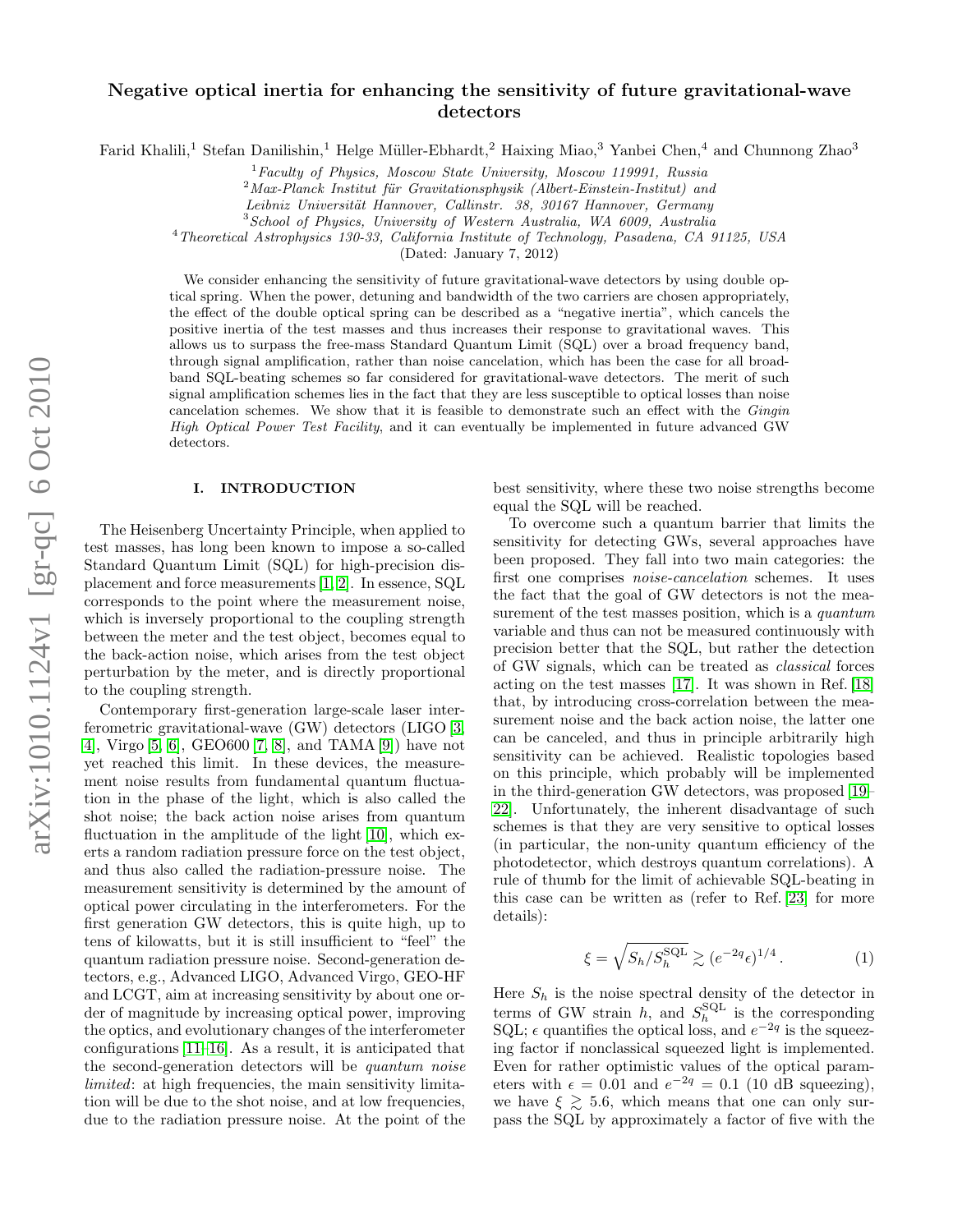# Negative optical inertia for enhancing the sensitivity of future gravitational-wave detectors

Farid Khalili,<sup>1</sup> Stefan Danilishin,<sup>1</sup> Helge Müller-Ebhardt,<sup>2</sup> Haixing Miao,<sup>3</sup> Yanbei Chen,<sup>4</sup> and Chunnong Zhao<sup>3</sup>

 $1$  Faculty of Physics, Moscow State University, Moscow 119991, Russia

 $2$ Max-Planck Institut für Gravitationsphysik (Albert-Einstein-Institut) and

Leibniz Universität Hannover, Callinstr. 38, 30167 Hannover, Germany

 $3$ School of Physics, University of Western Australia, WA 6009, Australia

<sup>4</sup>Theoretical Astrophysics 130-33, California Institute of Technology, Pasadena, CA 91125, USA

(Dated: January 7, 2012)

We consider enhancing the sensitivity of future gravitational-wave detectors by using double optical spring. When the power, detuning and bandwidth of the two carriers are chosen appropriately, the effect of the double optical spring can be described as a "negative inertia", which cancels the positive inertia of the test masses and thus increases their response to gravitational waves. This allows us to surpass the free-mass Standard Quantum Limit (SQL) over a broad frequency band, through signal amplification, rather than noise cancelation, which has been the case for all broadband SQL-beating schemes so far considered for gravitational-wave detectors. The merit of such signal amplification schemes lies in the fact that they are less susceptible to optical losses than noise cancelation schemes. We show that it is feasible to demonstrate such an effect with the Gingin High Optical Power Test Facility, and it can eventually be implemented in future advanced GW detectors.

### I. INTRODUCTION

The Heisenberg Uncertainty Principle, when applied to test masses, has long been known to impose a so-called Standard Quantum Limit (SQL) for high-precision displacement and force measurements [\[1,](#page-6-0) [2\]](#page-6-1). In essence, SQL corresponds to the point where the measurement noise, which is inversely proportional to the coupling strength between the meter and the test object, becomes equal to the back-action noise, which arises from the test object perturbation by the meter, and is directly proportional to the coupling strength.

Contemporary first-generation large-scale laser interferometric gravitational-wave (GW) detectors (LIGO [\[3,](#page-6-2) [4\]](#page-6-3), Virgo [\[5,](#page-6-4) [6\]](#page-6-5), GEO600 [\[7,](#page-6-6) [8\]](#page-6-7), and TAMA [\[9\]](#page-6-8)) have not yet reached this limit. In these devices, the measurement noise results from fundamental quantum fluctuation in the phase of the light, which is also called the shot noise; the back action noise arises from quantum fluctuation in the amplitude of the light [\[10\]](#page-6-9), which exerts a random radiation pressure force on the test object, and thus also called the radiation-pressure noise. The measurement sensitivity is determined by the amount of optical power circulating in the interferometers. For the first generation GW detectors, this is quite high, up to tens of kilowatts, but it is still insufficient to "feel" the quantum radiation pressure noise. Second-generation detectors, e.g., Advanced LIGO, Advanced Virgo, GEO-HF and LCGT, aim at increasing sensitivity by about one order of magnitude by increasing optical power, improving the optics, and evolutionary changes of the interferometer configurations [\[11](#page-6-10)[–16\]](#page-6-11). As a result, it is anticipated that the second-generation detectors will be quantum noise limited: at high frequencies, the main sensitivity limitation will be due to the shot noise, and at low frequencies, due to the radiation pressure noise. At the point of the

best sensitivity, where these two noise strengths become equal the SQL will be reached.

To overcome such a quantum barrier that limits the sensitivity for detecting GWs, several approaches have been proposed. They fall into two main categories: the first one comprises noise-cancelation schemes. It uses the fact that the goal of GW detectors is not the measurement of the test masses position, which is a quantum variable and thus can not be measured continuously with precision better that the SQL, but rather the detection of GW signals, which can be treated as classical forces acting on the test masses [\[17\]](#page-6-12). It was shown in Ref. [\[18\]](#page-6-13) that, by introducing cross-correlation between the measurement noise and the back action noise, the latter one can be canceled, and thus in principle arbitrarily high sensitivity can be achieved. Realistic topologies based on this principle, which probably will be implemented in the third-generation GW detectors, was proposed [\[19–](#page-6-14) [22\]](#page-6-15). Unfortunately, the inherent disadvantage of such schemes is that they are very sensitive to optical losses (in particular, the non-unity quantum efficiency of the photodetector, which destroys quantum correlations). A rule of thumb for the limit of achievable SQL-beating in this case can be written as (refer to Ref. [\[23\]](#page-6-16) for more details):

$$
\xi = \sqrt{S_h/S_h^{\text{SQL}}} \gtrsim (e^{-2q} \epsilon)^{1/4} \,. \tag{1}
$$

Here  $S_h$  is the noise spectral density of the detector in terms of GW strain h, and  $S_h^{\text{SQL}}$  is the corresponding SQL;  $\epsilon$  quantifies the optical loss, and  $e^{-2q}$  is the squeezing factor if nonclassical squeezed light is implemented. Even for rather optimistic values of the optical parameters with  $\epsilon = 0.01$  and  $e^{-2q} = 0.1$  (10 dB squeezing), we have  $\xi \geq 5.6$ , which means that one can only surpass the SQL by approximately a factor of five with the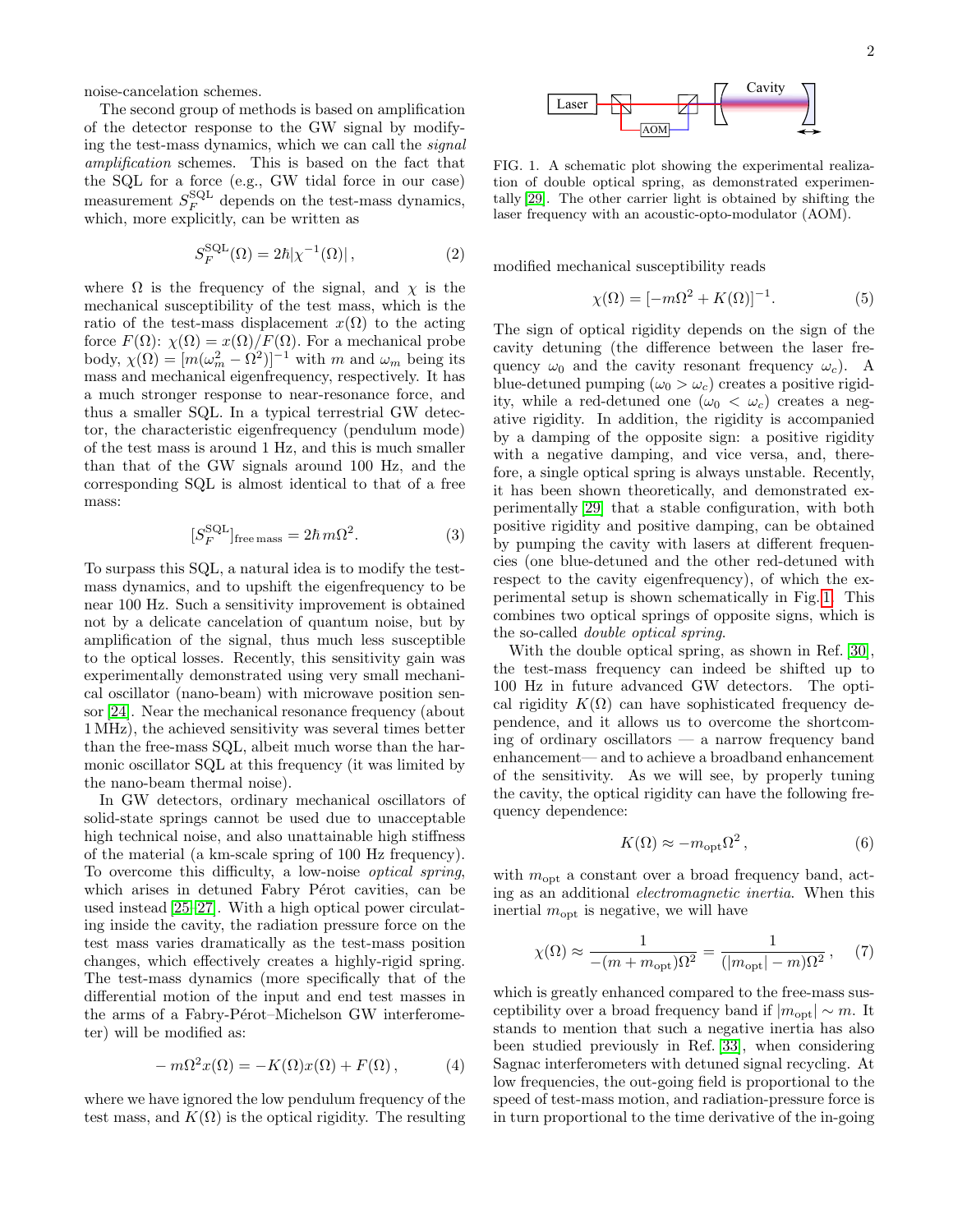noise-cancelation schemes.

The second group of methods is based on amplification of the detector response to the GW signal by modifying the test-mass dynamics, which we can call the signal amplification schemes. This is based on the fact that the SQL for a force (e.g., GW tidal force in our case) measurement  $S_F^{\text{SQL}}$  depends on the test-mass dynamics, which, more explicitly, can be written as

<span id="page-1-1"></span>
$$
S_F^{\text{SQL}}(\Omega) = 2\hbar |\chi^{-1}(\Omega)|\,,\tag{2}
$$

where  $\Omega$  is the frequency of the signal, and  $\chi$  is the mechanical susceptibility of the test mass, which is the ratio of the test-mass displacement  $x(\Omega)$  to the acting force  $F(\Omega)$ :  $\chi(\Omega) = x(\Omega)/F(\Omega)$ . For a mechanical probe body,  $\chi(\Omega) = [m(\omega_m^2 - \Omega^2)]^{-1}$  with m and  $\omega_m$  being its mass and mechanical eigenfrequency, respectively. It has a much stronger response to near-resonance force, and thus a smaller SQL. In a typical terrestrial GW detector, the characteristic eigenfrequency (pendulum mode) of the test mass is around 1 Hz, and this is much smaller than that of the GW signals around 100 Hz, and the corresponding SQL is almost identical to that of a free mass:

$$
[S_F^{\text{SQL}}]_{\text{free mass}} = 2\hbar m\Omega^2. \tag{3}
$$

To surpass this SQL, a natural idea is to modify the testmass dynamics, and to upshift the eigenfrequency to be near 100 Hz. Such a sensitivity improvement is obtained not by a delicate cancelation of quantum noise, but by amplification of the signal, thus much less susceptible to the optical losses. Recently, this sensitivity gain was experimentally demonstrated using very small mechanical oscillator (nano-beam) with microwave position sensor [\[24\]](#page-6-17). Near the mechanical resonance frequency (about 1 MHz), the achieved sensitivity was several times better than the free-mass SQL, albeit much worse than the harmonic oscillator SQL at this frequency (it was limited by the nano-beam thermal noise).

In GW detectors, ordinary mechanical oscillators of solid-state springs cannot be used due to unacceptable high technical noise, and also unattainable high stiffness of the material (a km-scale spring of 100 Hz frequency). To overcome this difficulty, a low-noise optical spring, which arises in detuned Fabry Pérot cavities, can be used instead [\[25–](#page-6-18)[27\]](#page-6-19). With a high optical power circulating inside the cavity, the radiation pressure force on the test mass varies dramatically as the test-mass position changes, which effectively creates a highly-rigid spring. The test-mass dynamics (more specifically that of the differential motion of the input and end test masses in the arms of a Fabry-Pérot–Michelson GW interferometer) will be modified as: The second group of mathods is based on amplification<br>
of the detector response to the GW signal by modify-<br>
ing the test-mass dynamics, which we can call the signal<br>
may formula rigidity. The core in our case) can show c

$$
-m\Omega^{2}x(\Omega) = -K(\Omega)x(\Omega) + F(\Omega), \qquad (4)
$$

where we have ignored the low pendulum frequency of the



<span id="page-1-0"></span>FIG. 1. A schematic plot showing the experimental realization of double optical spring, as demonstrated experimentally [\[29\]](#page-6-20). The other carrier light is obtained by shifting the laser frequency with an acoustic-opto-modulator (AOM).

modified mechanical susceptibility reads

$$
\chi(\Omega) = [-m\Omega^2 + K(\Omega)]^{-1}.
$$
 (5)

The sign of optical rigidity depends on the sign of the cavity detuning (the difference between the laser frequency  $\omega_0$  and the cavity resonant frequency  $\omega_c$ ). A blue-detuned pumping  $(\omega_0 > \omega_c)$  creates a positive rigidity, while a red-detuned one  $(\omega_0 < \omega_c)$  creates a negative rigidity. In addition, the rigidity is accompanied by a damping of the opposite sign: a positive rigidity with a negative damping, and vice versa, and, therefore, a single optical spring is always unstable. Recently, it has been shown theoretically, and demonstrated experimentally [\[29\]](#page-6-20) that a stable configuration, with both positive rigidity and positive damping, can be obtained by pumping the cavity with lasers at different frequencies (one blue-detuned and the other red-detuned with respect to the cavity eigenfrequency), of which the experimental setup is shown schematically in Fig. [1.](#page-1-0) This combines two optical springs of opposite signs, which is the so-called double optical spring.

With the double optical spring, as shown in Ref. [\[30\]](#page-6-21), the test-mass frequency can indeed be shifted up to 100 Hz in future advanced GW detectors. The optical rigidity  $K(\Omega)$  can have sophisticated frequency dependence, and it allows us to overcome the shortcoming of ordinary oscillators — a narrow frequency band enhancement— and to achieve a broadband enhancement of the sensitivity. As we will see, by properly tuning the cavity, the optical rigidity can have the following frequency dependence:

$$
K(\Omega) \approx -m_{\text{opt}} \Omega^2, \qquad (6)
$$

with  $m_{\text{opt}}$  a constant over a broad frequency band, acting as an additional electromagnetic inertia. When this inertial  $m_{\text{opt}}$  is negative, we will have

$$
\chi(\Omega) \approx \frac{1}{-(m+m_{\rm opt})\Omega^2} = \frac{1}{(|m_{\rm opt}| - m)\Omega^2}, \quad (7)
$$

which is greatly enhanced compared to the free-mass susceptibility over a broad frequency band if  $|m_{\text{opt}}| \sim m$ . It stands to mention that such a negative inertia has also been studied previously in Ref. [\[33\]](#page-6-22), when considering Sagnac interferometers with detuned signal recycling. At low frequencies, the out-going field is proportional to the speed of test-mass motion, and radiation-pressure force is in turn proportional to the time derivative of the in-going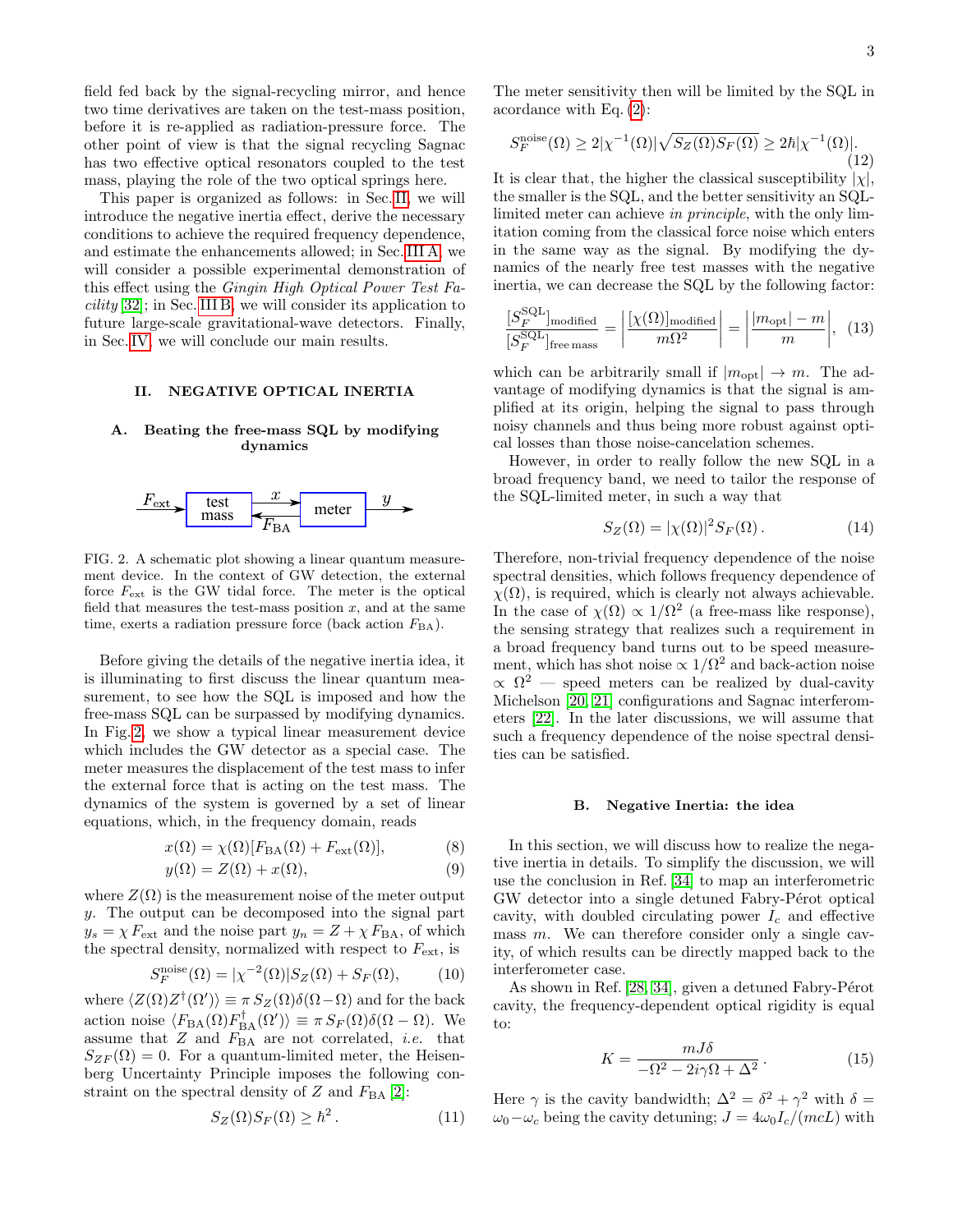field fed back by the signal-recycling mirror, and hence two time derivatives are taken on the test-mass position, before it is re-applied as radiation-pressure force. The other point of view is that the signal recycling Sagnac has two effective optical resonators coupled to the test mass, playing the role of the two optical springs here.

This paper is organized as follows: in Sec. [II,](#page-2-0) we will introduce the negative inertia effect, derive the necessary conditions to achieve the required frequency dependence, and estimate the enhancements allowed; in Sec. [III A,](#page-4-0) we will consider a possible experimental demonstration of this effect using the Gingin High Optical Power Test Facility [\[32\]](#page-6-23); in Sec. [III B,](#page-4-1) we will consider its application to future large-scale gravitational-wave detectors. Finally, in Sec. [IV,](#page-5-0) we will conclude our main results.

### <span id="page-2-0"></span>II. NEGATIVE OPTICAL INERTIA

### <span id="page-2-2"></span>A. Beating the free-mass SQL by modifying dynamics



<span id="page-2-1"></span>FIG. 2. A schematic plot showing a linear quantum measurement device. In the context of GW detection, the external force  $F_{\text{ext}}$  is the GW tidal force. The meter is the optical field that measures the test-mass position  $x$ , and at the same time, exerts a radiation pressure force (back action  $F_{BA}$ ).

Before giving the details of the negative inertia idea, it is illuminating to first discuss the linear quantum measurement, to see how the SQL is imposed and how the free-mass SQL can be surpassed by modifying dynamics. In Fig. [2,](#page-2-1) we show a typical linear measurement device which includes the GW detector as a special case. The meter measures the displacement of the test mass to infer the external force that is acting on the test mass. The dynamics of the system is governed by a set of linear equations, which, in the frequency domain, reads

$$
x(\Omega) = \chi(\Omega)[F_{BA}(\Omega) + F_{ext}(\Omega)],
$$
\n(8)

$$
y(\Omega) = Z(\Omega) + x(\Omega),\tag{9}
$$

where  $Z(\Omega)$  is the measurement noise of the meter output y. The output can be decomposed into the signal part  $y_s = \chi F_{\text{ext}}$  and the noise part  $y_n = Z + \chi F_{\text{BA}}$ , of which the spectral density, normalized with respect to  $F_{\text{ext}}$ , is

$$
S_F^{\text{noise}}(\Omega) = |\chi^{-2}(\Omega)| S_Z(\Omega) + S_F(\Omega), \tag{10}
$$

where  $\langle Z(\Omega)Z^{\dagger}(\Omega')\rangle \equiv \pi S_Z(\Omega)\delta(\Omega-\Omega)$  and for the back action noise  $\langle F_{BA}(\Omega) F_{BA}^{\dagger}(\Omega') \rangle \equiv \pi S_F(\Omega) \delta(\Omega - \Omega)$ . We assume that  $Z$  and  $F_{BA}$  are not correlated, *i.e.* that  $S_{ZF}(\Omega) = 0$ . For a quantum-limited meter, the Heisenberg Uncertainty Principle imposes the following constraint on the spectral density of Z and  $F_{BA}$  [\[2\]](#page-6-1):

$$
S_Z(\Omega)S_F(\Omega) \geq \hbar^2. \tag{11}
$$

The meter sensitivity then will be limited by the SQL in acordance with Eq. [\(2\)](#page-1-1):

$$
S_F^{\text{noise}}(\Omega) \ge 2|\chi^{-1}(\Omega)|\sqrt{S_Z(\Omega)S_F(\Omega)} \ge 2\hbar|\chi^{-1}(\Omega)|.\tag{12}
$$

It is clear that, the higher the classical susceptibility  $|\chi|$ , the smaller is the SQL, and the better sensitivity an SQLlimited meter can achieve in principle, with the only limitation coming from the classical force noise which enters in the same way as the signal. By modifying the dynamics of the nearly free test masses with the negative inertia, we can decrease the SQL by the following factor:

$$
\frac{[S_F^{\text{SQL}}]_{\text{modified}}}{[S_F^{\text{SQL}}]_{\text{free mass}}} = \left| \frac{[\chi(\Omega)]_{\text{modified}}}{m\Omega^2} \right| = \left| \frac{|m_{\text{opt}}| - m}{m} \right|, (13)
$$

which can be arbitrarily small if  $|m_{\text{opt}}| \to m$ . The advantage of modifying dynamics is that the signal is amplified at its origin, helping the signal to pass through noisy channels and thus being more robust against optical losses than those noise-cancelation schemes.

However, in order to really follow the new SQL in a broad frequency band, we need to tailor the response of the SQL-limited meter, in such a way that

<span id="page-2-3"></span>
$$
S_Z(\Omega) = |\chi(\Omega)|^2 S_F(\Omega). \tag{14}
$$

Therefore, non-trivial frequency dependence of the noise spectral densities, which follows frequency dependence of  $\chi(\Omega)$ , is required, which is clearly not always achievable. In the case of  $\chi(\Omega) \propto 1/\Omega^2$  (a free-mass like response), the sensing strategy that realizes such a requirement in a broad frequency band turns out to be speed measurement, which has shot noise  $\propto 1/\Omega^2$  and back-action noise  $\propto \Omega^2$  — speed meters can be realized by dual-cavity Michelson [\[20,](#page-6-24) [21\]](#page-6-25) configurations and Sagnac interferometers [\[22\]](#page-6-15). In the later discussions, we will assume that such a frequency dependence of the noise spectral densities can be satisfied.

### B. Negative Inertia: the idea

In this section, we will discuss how to realize the negative inertia in details. To simplify the discussion, we will use the conclusion in Ref. [\[34\]](#page-6-26) to map an interferometric GW detector into a single detuned Fabry-Pérot optical cavity, with doubled circulating power  $I_c$  and effective mass m. We can therefore consider only a single cavity, of which results can be directly mapped back to the interferometer case.

As shown in Ref.  $[28, 34]$  $[28, 34]$ , given a detuned Fabry-Pérot cavity, the frequency-dependent optical rigidity is equal to:

$$
K = \frac{mJ\delta}{-\Omega^2 - 2i\gamma\Omega + \Delta^2}.
$$
 (15)

Here  $\gamma$  is the cavity bandwidth;  $\Delta^2 = \delta^2 + \gamma^2$  with  $\delta =$  $\omega_0-\omega_c$  being the cavity detuning;  $J=4\omega_0I_c/(mcL)$  with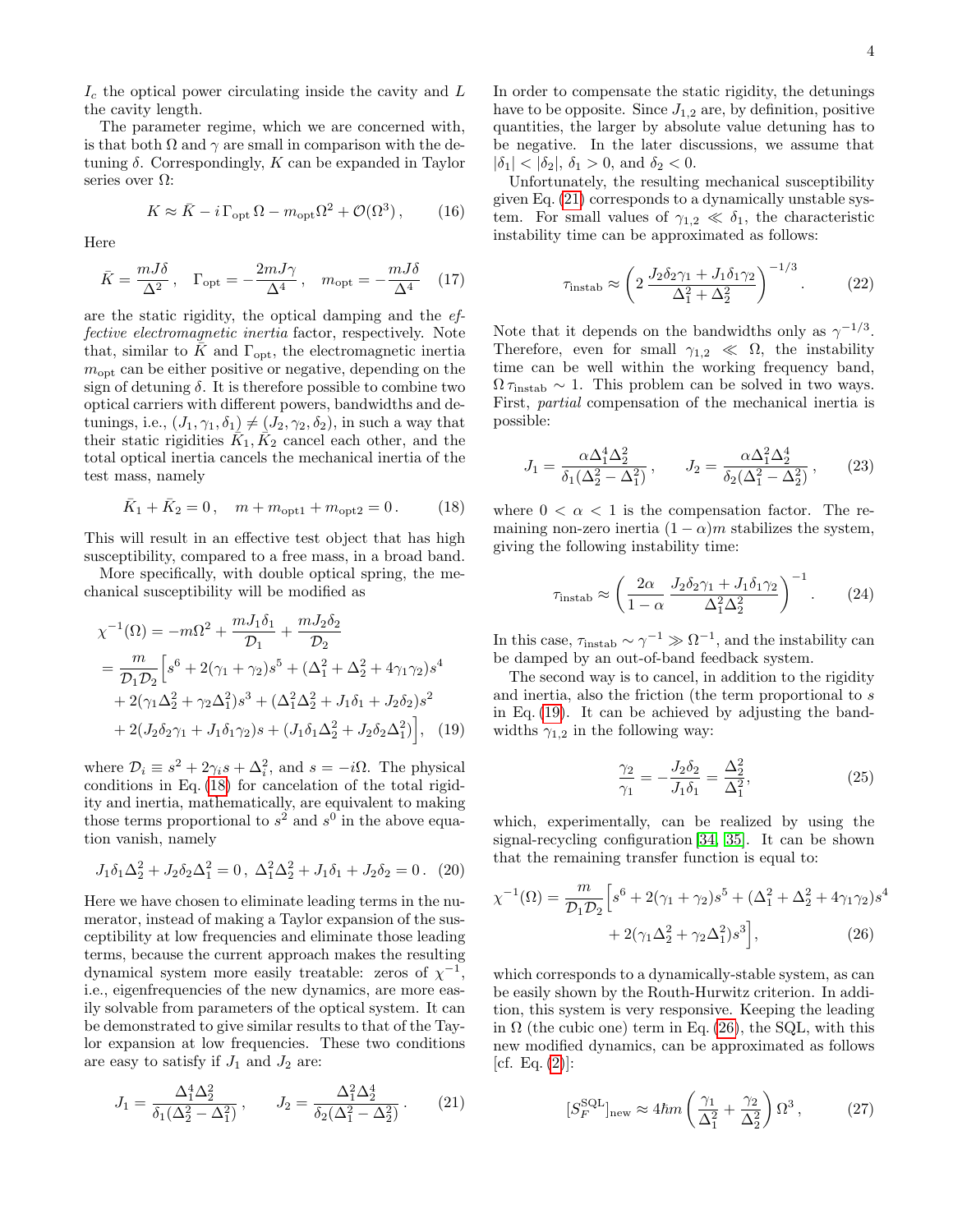$I_c$  the optical power circulating inside the cavity and  $L$ the cavity length.

The parameter regime, which we are concerned with, is that both  $\Omega$  and  $\gamma$  are small in comparison with the detuning  $\delta$ . Correspondingly,  $K$  can be expanded in Taylor series over  $\Omega$ :

$$
K \approx \bar{K} - i \Gamma_{\rm opt} \Omega - m_{\rm opt} \Omega^2 + \mathcal{O}(\Omega^3) ,\qquad (16)
$$

Here

$$
\bar{K} = \frac{mJ\delta}{\Delta^2}, \quad \Gamma_{\text{opt}} = -\frac{2mJ\gamma}{\Delta^4}, \quad m_{\text{opt}} = -\frac{mJ\delta}{\Delta^4} \quad (17)
$$

are the static rigidity, the optical damping and the effective electromagnetic inertia factor, respectively. Note that, similar to  $\bar{K}$  and  $\Gamma_{\rm opt}$ , the electromagnetic inertia  $m_{\text{opt}}$  can be either positive or negative, depending on the sign of detuning  $\delta$ . It is therefore possible to combine two optical carriers with different powers, bandwidths and detunings, i.e.,  $(J_1, \gamma_1, \delta_1) \neq (J_2, \gamma_2, \delta_2)$ , in such a way that their static rigidities  $\overline{K}_1$ ,  $\overline{K}_2$  cancel each other, and the total optical inertia cancels the mechanical inertia of the test mass, namely

<span id="page-3-0"></span>
$$
\bar{K}_1 + \bar{K}_2 = 0, \quad m + m_{\text{opt1}} + m_{\text{opt2}} = 0. \tag{18}
$$

This will result in an effective test object that has high susceptibility, compared to a free mass, in a broad band.

More specifically, with double optical spring, the mechanical susceptibility will be modified as

$$
\chi^{-1}(\Omega) = -m\Omega^2 + \frac{mJ_1\delta_1}{\mathcal{D}_1} + \frac{mJ_2\delta_2}{\mathcal{D}_2}
$$
  
=  $\frac{m}{\mathcal{D}_1\mathcal{D}_2} \Big[ s^6 + 2(\gamma_1 + \gamma_2)s^5 + (\Delta_1^2 + \Delta_2^2 + 4\gamma_1\gamma_2)s^4$   
+  $2(\gamma_1\Delta_2^2 + \gamma_2\Delta_1^2)s^3 + (\Delta_1^2\Delta_2^2 + J_1\delta_1 + J_2\delta_2)s^2$   
+  $2(J_2\delta_2\gamma_1 + J_1\delta_1\gamma_2)s + (J_1\delta_1\Delta_2^2 + J_2\delta_2\Delta_1^2) \Big],$  (19)

where  $\mathcal{D}_i \equiv s^2 + 2\gamma_i s + \Delta_i^2$ , and  $s = -i\Omega$ . The physical conditions in Eq. [\(18\)](#page-3-0) for cancelation of the total rigidity and inertia, mathematically, are equivalent to making those terms proportional to  $s^2$  and  $s^0$  in the above equation vanish, namely

$$
J_1 \delta_1 \Delta_2^2 + J_2 \delta_2 \Delta_1^2 = 0, \ \Delta_1^2 \Delta_2^2 + J_1 \delta_1 + J_2 \delta_2 = 0. \tag{20}
$$

Here we have chosen to eliminate leading terms in the numerator, instead of making a Taylor expansion of the susceptibility at low frequencies and eliminate those leading terms, because the current approach makes the resulting dynamical system more easily treatable: zeros of  $\chi^{-1}$ , i.e., eigenfrequencies of the new dynamics, are more easily solvable from parameters of the optical system. It can be demonstrated to give similar results to that of the Taylor expansion at low frequencies. These two conditions are easy to satisfy if  $J_1$  and  $J_2$  are:

$$
J_1 = \frac{\Delta_1^4 \Delta_2^2}{\delta_1 (\Delta_2^2 - \Delta_1^2)}, \qquad J_2 = \frac{\Delta_1^2 \Delta_2^4}{\delta_2 (\Delta_1^2 - \Delta_2^2)}.
$$
 (21)

In order to compensate the static rigidity, the detunings have to be opposite. Since  $J_{1,2}$  are, by definition, positive quantities, the larger by absolute value detuning has to be negative. In the later discussions, we assume that  $|\delta_1| < |\delta_2|, \, \delta_1 > 0, \text{ and } \delta_2 < 0.$ 

Unfortunately, the resulting mechanical susceptibility given Eq. [\(21\)](#page-3-1) corresponds to a dynamically unstable system. For small values of  $\gamma_{1,2} \ll \delta_1$ , the characteristic instability time can be approximated as follows:

$$
\tau_{\text{instab}} \approx \left(2 \frac{J_2 \delta_2 \gamma_1 + J_1 \delta_1 \gamma_2}{\Delta_1^2 + \Delta_2^2}\right)^{-1/3}.\tag{22}
$$

Note that it depends on the bandwidths only as  $\gamma^{-1/3}$ . Therefore, even for small  $\gamma_{1,2} \ll \Omega$ , the instability time can be well within the working frequency band,  $\Omega \tau_{\text{instab}} \sim 1$ . This problem can be solved in two ways. First, partial compensation of the mechanical inertia is possible:

$$
J_1 = \frac{\alpha \Delta_1^4 \Delta_2^2}{\delta_1(\Delta_2^2 - \Delta_1^2)}, \qquad J_2 = \frac{\alpha \Delta_1^2 \Delta_2^4}{\delta_2(\Delta_1^2 - \Delta_2^2)}, \qquad (23)
$$

where  $0 < \alpha < 1$  is the compensation factor. The remaining non-zero inertia  $(1 - \alpha)m$  stabilizes the system, giving the following instability time:

$$
\tau_{\text{instab}} \approx \left(\frac{2\alpha}{1-\alpha} \frac{J_2 \delta_2 \gamma_1 + J_1 \delta_1 \gamma_2}{\Delta_1^2 \Delta_2^2}\right)^{-1}.\tag{24}
$$

In this case,  $\tau_{\text{instab}} \sim \gamma^{-1} \gg \Omega^{-1}$ , and the instability can be damped by an out-of-band feedback system.

<span id="page-3-2"></span>The second way is to cancel, in addition to the rigidity and inertia, also the friction (the term proportional to s in Eq. [\(19\)](#page-3-2). It can be achieved by adjusting the bandwidths  $\gamma_{1,2}$  in the following way:

<span id="page-3-4"></span><span id="page-3-3"></span>
$$
\frac{\gamma_2}{\gamma_1} = -\frac{J_2 \delta_2}{J_1 \delta_1} = \frac{\Delta_2^2}{\Delta_1^2},\tag{25}
$$

which, experimentally, can be realized by using the signal-recycling configuration [\[34,](#page-6-26) [35\]](#page-6-28). It can be shown that the remaining transfer function is equal to:

$$
\chi^{-1}(\Omega) = \frac{m}{\mathcal{D}_1 \mathcal{D}_2} \Big[ s^6 + 2(\gamma_1 + \gamma_2)s^5 + (\Delta_1^2 + \Delta_2^2 + 4\gamma_1 \gamma_2)s^4 + 2(\gamma_1 \Delta_2^2 + \gamma_2 \Delta_1^2)s^3 \Big],\tag{26}
$$

which corresponds to a dynamically-stable system, as can be easily shown by the Routh-Hurwitz criterion. In addition, this system is very responsive. Keeping the leading in  $\Omega$  (the cubic one) term in Eq. [\(26\)](#page-3-3), the SQL, with this new modified dynamics, can be approximated as follows [cf. Eq.  $(2)$ ]:

<span id="page-3-1"></span>
$$
[S_F^{\text{SQL}}]_{\text{new}} \approx 4\hbar m \left(\frac{\gamma_1}{\Delta_1^2} + \frac{\gamma_2}{\Delta_2^2}\right) \Omega^3 ,\qquad (27)
$$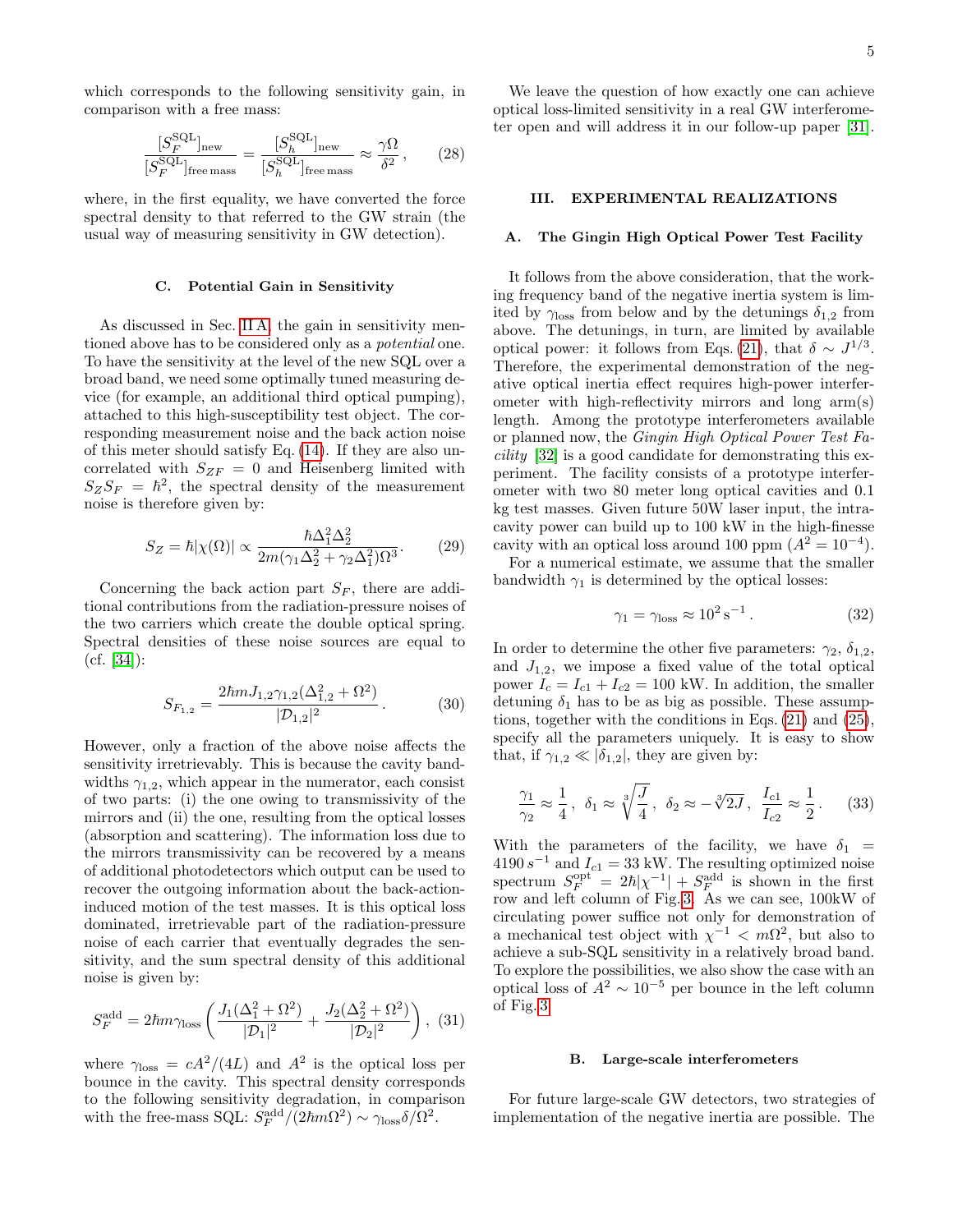which corresponds to the following sensitivity gain, in comparison with a free mass:

$$
\frac{[S_F^{\text{SQL}}]_{\text{new}}}{[S_F^{\text{SQL}}]_{\text{free mass}}} = \frac{[S_h^{\text{SQL}}]_{\text{new}}}{[S_h^{\text{SQL}}]_{\text{free mass}}} \approx \frac{\gamma \Omega}{\delta^2},\qquad(28)
$$

where, in the first equality, we have converted the force spectral density to that referred to the GW strain (the usual way of measuring sensitivity in GW detection).

#### C. Potential Gain in Sensitivity

As discussed in Sec. [II A,](#page-2-2) the gain in sensitivity mentioned above has to be considered only as a potential one. To have the sensitivity at the level of the new SQL over a broad band, we need some optimally tuned measuring device (for example, an additional third optical pumping), attached to this high-susceptibility test object. The corresponding measurement noise and the back action noise of this meter should satisfy Eq. [\(14\)](#page-2-3). If they are also uncorrelated with  $S_{ZF} = 0$  and Heisenberg limited with  $S_Z S_F = \hbar^2$ , the spectral density of the measurement noise is therefore given by:

$$
S_Z = \hbar |\chi(\Omega)| \propto \frac{\hbar \Delta_1^2 \Delta_2^2}{2m(\gamma_1 \Delta_2^2 + \gamma_2 \Delta_1^2)\Omega^3}.
$$
 (29)

Concerning the back action part  $S_F$ , there are additional contributions from the radiation-pressure noises of the two carriers which create the double optical spring. Spectral densities of these noise sources are equal to  $(cf. [34])$  $(cf. [34])$  $(cf. [34])$ :

$$
S_{F_{1,2}} = \frac{2\hbar m J_{1,2} \gamma_{1,2} (\Delta_{1,2}^2 + \Omega^2)}{|\mathcal{D}_{1,2}|^2}.
$$
 (30)

However, only a fraction of the above noise affects the sensitivity irretrievably. This is because the cavity bandwidths  $\gamma_{1,2}$ , which appear in the numerator, each consist of two parts: (i) the one owing to transmissivity of the mirrors and (ii) the one, resulting from the optical losses (absorption and scattering). The information loss due to the mirrors transmissivity can be recovered by a means of additional photodetectors which output can be used to recover the outgoing information about the back-actioninduced motion of the test masses. It is this optical loss dominated, irretrievable part of the radiation-pressure noise of each carrier that eventually degrades the sensitivity, and the sum spectral density of this additional noise is given by:

$$
S_F^{\text{add}} = 2\hbar m \gamma_{\text{loss}} \left( \frac{J_1(\Delta_1^2 + \Omega^2)}{|\mathcal{D}_1|^2} + \frac{J_2(\Delta_2^2 + \Omega^2)}{|\mathcal{D}_2|^2} \right), \tag{31}
$$

where  $\gamma_{\text{loss}} = cA^2/(4L)$  and  $A^2$  is the optical loss per bounce in the cavity. This spectral density corresponds to the following sensitivity degradation, in comparison with the free-mass SQL:  $\dot{S}_F^{\text{add}}/(2\hbar m\Omega^2) \sim \gamma_{\text{loss}} \delta/\Omega^2$ .

We leave the question of how exactly one can achieve optical loss-limited sensitivity in a real GW interferometer open and will address it in our follow-up paper [\[31\]](#page-6-29).

## III. EXPERIMENTAL REALIZATIONS

## <span id="page-4-0"></span>A. The Gingin High Optical Power Test Facility

It follows from the above consideration, that the working frequency band of the negative inertia system is limited by  $\gamma_{\text{loss}}$  from below and by the detunings  $\delta_{1,2}$  from above. The detunings, in turn, are limited by available optical power: it follows from Eqs. [\(21\)](#page-3-1), that  $\delta \sim J^{1/3}$ . Therefore, the experimental demonstration of the negative optical inertia effect requires high-power interferometer with high-reflectivity mirrors and long arm(s) length. Among the prototype interferometers available or planned now, the Gingin High Optical Power Test Facility [\[32\]](#page-6-23) is a good candidate for demonstrating this experiment. The facility consists of a prototype interferometer with two 80 meter long optical cavities and 0.1 kg test masses. Given future 50W laser input, the intracavity power can build up to 100 kW in the high-finesse cavity with an optical loss around 100 ppm  $(A^2 = 10^{-4})$ .

For a numerical estimate, we assume that the smaller bandwidth  $\gamma_1$  is determined by the optical losses:

$$
\gamma_1 = \gamma_{\text{loss}} \approx 10^2 \,\text{s}^{-1} \,. \tag{32}
$$

In order to determine the other five parameters:  $\gamma_2$ ,  $\delta_{1,2}$ , and  $J_{1,2}$ , we impose a fixed value of the total optical power  $I_c = I_{c1} + I_{c2} = 100$  kW. In addition, the smaller detuning  $\delta_1$  has to be as big as possible. These assumptions, together with the conditions in Eqs. [\(21\)](#page-3-1) and [\(25\)](#page-3-4), specify all the parameters uniquely. It is easy to show that, if  $\gamma_{1,2} \ll |\delta_{1,2}|$ , they are given by:

$$
\frac{\gamma_1}{\gamma_2} \approx \frac{1}{4}, \ \delta_1 \approx \sqrt[3]{\frac{J}{4}}, \ \delta_2 \approx -\sqrt[3]{2J}, \ \frac{I_{c1}}{I_{c2}} \approx \frac{1}{2}.
$$
 (33)

With the parameters of the facility, we have  $\delta_1$  =  $4190 s^{-1}$  and  $I_{c1} = 33$  kW. The resulting optimized noise spectrum  $S_F^{\text{opt}} = 2\hbar |\chi^{-1}| + S_F^{\text{add}}$  is shown in the first row and left column of Fig. [3.](#page-5-1) As we can see, 100kW of circulating power suffice not only for demonstration of a mechanical test object with  $\chi^{-1} < m\Omega^2$ , but also to achieve a sub-SQL sensitivity in a relatively broad band. To explore the possibilities, we also show the case with an optical loss of  $A^2 \sim 10^{-5}$  per bounce in the left column of Fig. [3.](#page-5-1)

## <span id="page-4-1"></span>B. Large-scale interferometers

For future large-scale GW detectors, two strategies of implementation of the negative inertia are possible. The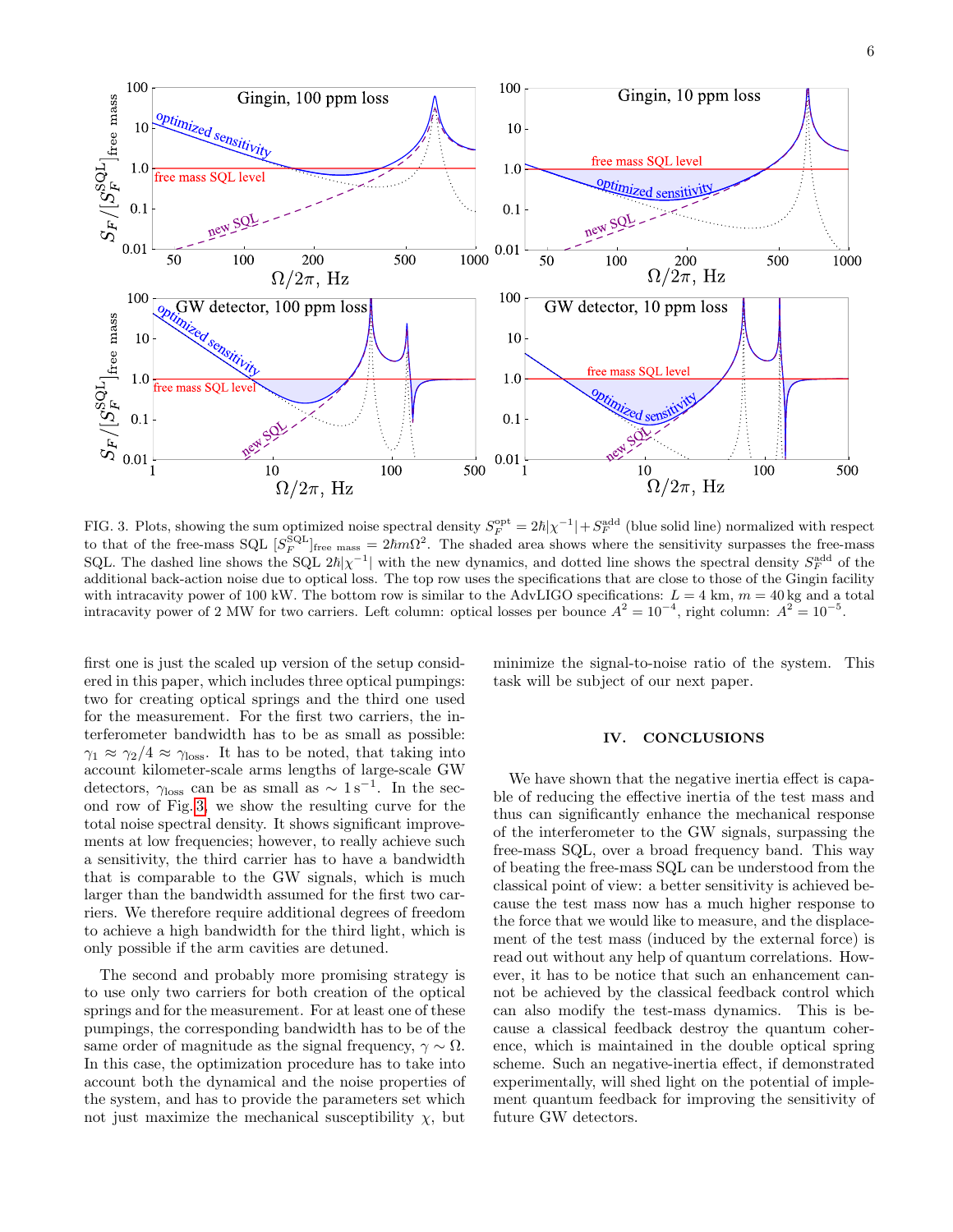

<span id="page-5-1"></span>FIG. 3. Plots, showing the sum optimized noise spectral density  $S_F^{\text{opt}} = 2\hbar |\chi^{-1}| + S_F^{\text{add}}$  (blue solid line) normalized with respect to that of the free-mass SQL  $[S_F^{\text{SQL}}]_{\text{free mass}} = 2\hbar m\Omega^2$ . The shaded area shows where the sensitivity surpasses the free-mass SQL. The dashed line shows the SQL  $2\hbar |\chi^{-1}|$  with the new dynamics, and dotted line shows the spectral density  $S_F^{\text{add}}$  of the additional back-action noise due to optical loss. The top row uses the specifications that are close to those of the Gingin facility with intracavity power of 100 kW. The bottom row is similar to the AdvLIGO specifications:  $L = 4$  km,  $m = 40$  kg and a total intracavity power of 2 MW for two carriers. Left column: optical losses per bounce  $A^2 = 10^{-4}$ , right column:  $A^2 = 10^{-5}$ .

first one is just the scaled up version of the setup considered in this paper, which includes three optical pumpings: two for creating optical springs and the third one used for the measurement. For the first two carriers, the interferometer bandwidth has to be as small as possible:  $\gamma_1 \approx \gamma_2/4 \approx \gamma_{\text{loss}}$ . It has to be noted, that taking into account kilometer-scale arms lengths of large-scale GW detectors,  $\gamma_{\text{loss}}$  can be as small as  $\sim 1 \,\text{s}^{-1}$ . In the second row of Fig. [3,](#page-5-1) we show the resulting curve for the total noise spectral density. It shows significant improvements at low frequencies; however, to really achieve such a sensitivity, the third carrier has to have a bandwidth that is comparable to the GW signals, which is much larger than the bandwidth assumed for the first two carriers. We therefore require additional degrees of freedom to achieve a high bandwidth for the third light, which is only possible if the arm cavities are detuned.

The second and probably more promising strategy is to use only two carriers for both creation of the optical springs and for the measurement. For at least one of these pumpings, the corresponding bandwidth has to be of the same order of magnitude as the signal frequency,  $\gamma \sim \Omega$ . In this case, the optimization procedure has to take into account both the dynamical and the noise properties of the system, and has to provide the parameters set which not just maximize the mechanical susceptibility  $\chi$ , but

minimize the signal-to-noise ratio of the system. This task will be subject of our next paper.

### <span id="page-5-0"></span>IV. CONCLUSIONS

We have shown that the negative inertia effect is capable of reducing the effective inertia of the test mass and thus can significantly enhance the mechanical response of the interferometer to the GW signals, surpassing the free-mass SQL, over a broad frequency band. This way of beating the free-mass SQL can be understood from the classical point of view: a better sensitivity is achieved because the test mass now has a much higher response to the force that we would like to measure, and the displacement of the test mass (induced by the external force) is read out without any help of quantum correlations. However, it has to be notice that such an enhancement cannot be achieved by the classical feedback control which can also modify the test-mass dynamics. This is because a classical feedback destroy the quantum coherence, which is maintained in the double optical spring scheme. Such an negative-inertia effect, if demonstrated experimentally, will shed light on the potential of implement quantum feedback for improving the sensitivity of future GW detectors.